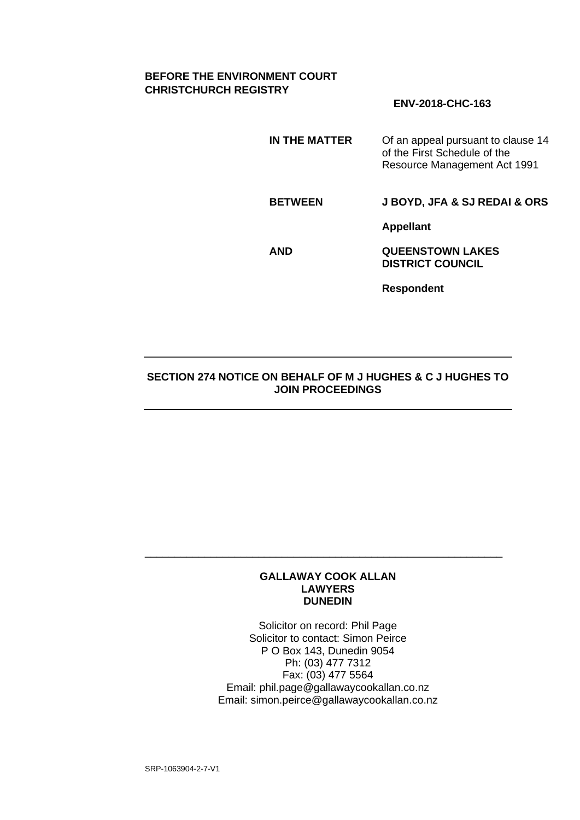# **BEFORE THE ENVIRONMENT COURT CHRISTCHURCH REGISTRY**

# **ENV-2018-CHC-163**

**IN THE MATTER** Of an appeal pursuant to clause 14 of the First Schedule of the Resource Management Act 1991

**BETWEEN J BOYD, JFA & SJ REDAI & ORS**

**Appellant**

**AND QUEENSTOWN LAKES DISTRICT COUNCIL**

**Respondent**

# **SECTION 274 NOTICE ON BEHALF OF M J HUGHES & C J HUGHES TO JOIN PROCEEDINGS**

#### **GALLAWAY COOK ALLAN LAWYERS DUNEDIN**

\_\_\_\_\_\_\_\_\_\_\_\_\_\_\_\_\_\_\_\_\_\_\_\_\_\_\_\_\_\_\_\_\_\_\_\_\_\_\_\_\_\_\_\_\_\_\_\_\_\_\_\_\_\_\_\_\_\_\_\_

Solicitor on record: Phil Page Solicitor to contact: Simon Peirce P O Box 143, Dunedin 9054 Ph: (03) 477 7312 Fax: (03) 477 5564 Email: phil.page@gallawaycookallan.co.nz Email: simon.peirce@gallawaycookallan.co.nz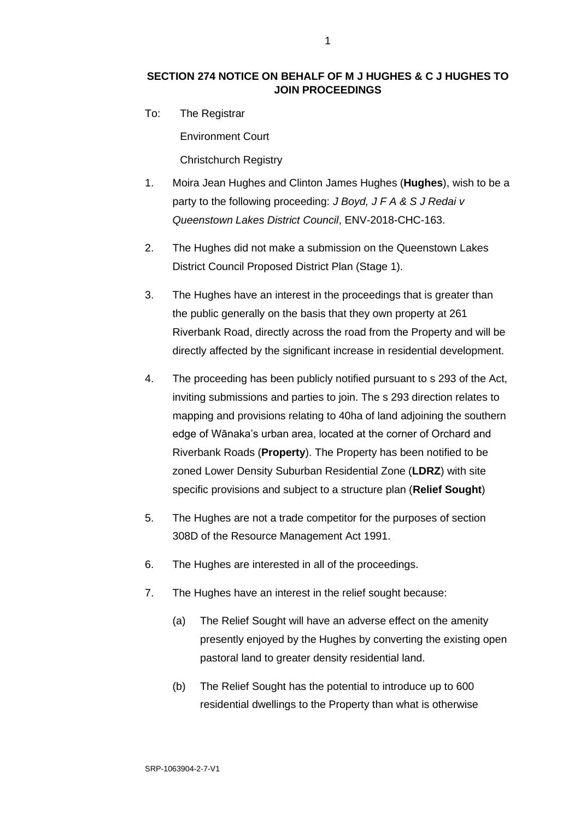# **SECTION 274 NOTICE ON BEHALF OF M J HUGHES & C J HUGHES TO JOIN PROCEEDINGS**

To: The Registrar

Environment Court

Christchurch Registry

- 1. Moira Jean Hughes and Clinton James Hughes (**Hughes**), wish to be a party to the following proceeding: *J Boyd, J F A & S J Redai v Queenstown Lakes District Council*, ENV-2018-CHC-163.
- 2. The Hughes did not make a submission on the Queenstown Lakes District Council Proposed District Plan (Stage 1).
- 3. The Hughes have an interest in the proceedings that is greater than the public generally on the basis that they own property at 261 Riverbank Road, directly across the road from the Property and will be directly affected by the significant increase in residential development.
- 4. The proceeding has been publicly notified pursuant to s 293 of the Act, inviting submissions and parties to join. The s 293 direction relates to mapping and provisions relating to 40ha of land adjoining the southern edge of Wānaka's urban area, located at the corner of Orchard and Riverbank Roads (**Property**). The Property has been notified to be zoned Lower Density Suburban Residential Zone (**LDRZ**) with site specific provisions and subject to a structure plan (**Relief Sought**)
- 5. The Hughes are not a trade competitor for the purposes of section 308D of the Resource Management Act 1991.
- 6. The Hughes are interested in all of the proceedings.
- 7. The Hughes have an interest in the relief sought because:
	- (a) The Relief Sought will have an adverse effect on the amenity presently enjoyed by the Hughes by converting the existing open pastoral land to greater density residential land.
	- (b) The Relief Sought has the potential to introduce up to 600 residential dwellings to the Property than what is otherwise